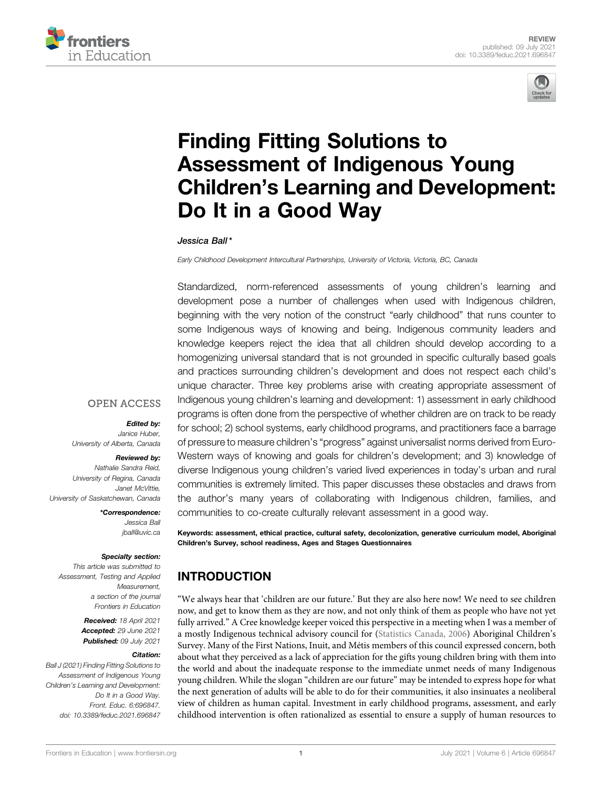



# [Finding Fitting Solutions to](https://www.frontiersin.org/articles/10.3389/feduc.2021.696847/full) [Assessment of Indigenous Young](https://www.frontiersin.org/articles/10.3389/feduc.2021.696847/full) Children'[s Learning and Development:](https://www.frontiersin.org/articles/10.3389/feduc.2021.696847/full) [Do It in a Good Way](https://www.frontiersin.org/articles/10.3389/feduc.2021.696847/full)

#### Jessica Ball \*

Early Childhood Development Intercultural Partnerships, University of Victoria, Victoria, BC, Canada

Standardized, norm-referenced assessments of young children's learning and development pose a number of challenges when used with Indigenous children, beginning with the very notion of the construct "early childhood" that runs counter to some Indigenous ways of knowing and being. Indigenous community leaders and knowledge keepers reject the idea that all children should develop according to a homogenizing universal standard that is not grounded in specific culturally based goals and practices surrounding children's development and does not respect each child's unique character. Three key problems arise with creating appropriate assessment of Indigenous young children's learning and development: 1) assessment in early childhood programs is often done from the perspective of whether children are on track to be ready for school; 2) school systems, early childhood programs, and practitioners face a barrage of pressure to measure children's "progress" against universalist norms derived from Euro-Western ways of knowing and goals for children's development; and 3) knowledge of diverse Indigenous young children's varied lived experiences in today's urban and rural communities is extremely limited. This paper discusses these obstacles and draws from the author's many years of collaborating with Indigenous children, families, and communities to co-create culturally relevant assessment in a good way.

Keywords: assessment, ethical practice, cultural safety, decolonization, generative curriculum model, Aboriginal Children's Survey, school readiness, Ages and Stages Questionnaires

# INTRODUCTION

"We always hear that 'children are our future.' But they are also here now! We need to see children now, and get to know them as they are now, and not only think of them as people who have not yet fully arrived." A Cree knowledge keeper voiced this perspective in a meeting when I was a member of a mostly Indigenous technical advisory council for [\(Statistics Canada, 2006\)](#page-8-0) Aboriginal Children's Survey. Many of the First Nations, Inuit, and Métis members of this council expressed concern, both about what they perceived as a lack of appreciation for the gifts young children bring with them into the world and about the inadequate response to the immediate unmet needs of many Indigenous young children. While the slogan "children are our future" may be intended to express hope for what the next generation of adults will be able to do for their communities, it also insinuates a neoliberal view of children as human capital. Investment in early childhood programs, assessment, and early childhood intervention is often rationalized as essential to ensure a supply of human resources to

#### **OPEN ACCESS**

#### Edited by: Janice Huber,

University of Alberta, Canada

#### Reviewed by:

Nathalie Sandra Reid, University of Regina, Canada Janet McVittie, University of Saskatchewan, Canada

> \*Correspondence: Jessica Ball [jball@uvic.ca](mailto:jball@uvic.ca)

#### Specialty section:

This article was submitted to Assessment, Testing and Applied Measurement, a section of the journal Frontiers in Education

> Received: 18 April 2021 Accepted: 29 June 2021 Published: 09 July 2021

#### Citation:

Ball J (2021) Finding Fitting Solutions to Assessment of Indigenous Young Children's Learning and Development: Do It in a Good Way. Front. Educ. 6:696847. doi: [10.3389/feduc.2021.696847](https://doi.org/10.3389/feduc.2021.696847)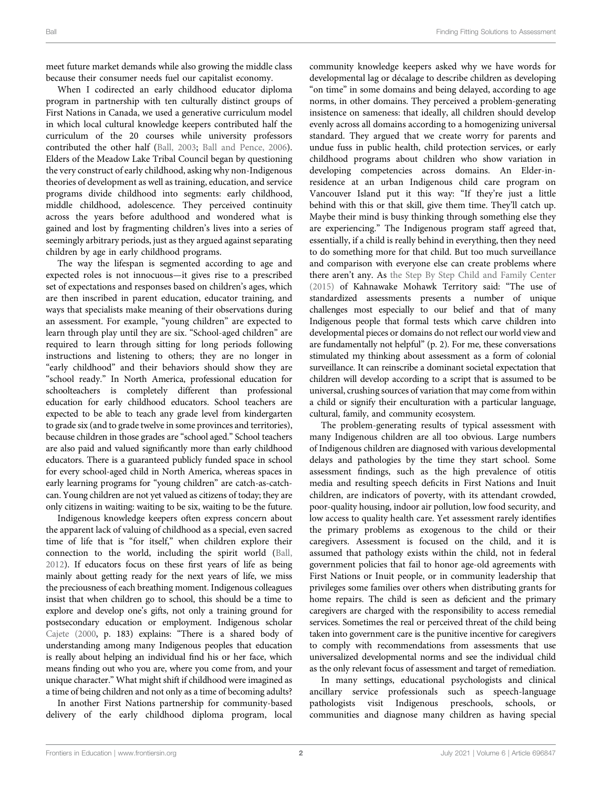meet future market demands while also growing the middle class because their consumer needs fuel our capitalist economy.

When I codirected an early childhood educator diploma program in partnership with ten culturally distinct groups of First Nations in Canada, we used a generative curriculum model in which local cultural knowledge keepers contributed half the curriculum of the 20 courses while university professors contributed the other half [\(Ball, 2003](#page-8-1); [Ball and Pence, 2006\)](#page-8-2). Elders of the Meadow Lake Tribal Council began by questioning the very construct of early childhood, asking why non-Indigenous theories of development as well as training, education, and service programs divide childhood into segments: early childhood, middle childhood, adolescence. They perceived continuity across the years before adulthood and wondered what is gained and lost by fragmenting children's lives into a series of seemingly arbitrary periods, just as they argued against separating children by age in early childhood programs.

The way the lifespan is segmented according to age and expected roles is not innocuous—it gives rise to a prescribed set of expectations and responses based on children's ages, which are then inscribed in parent education, educator training, and ways that specialists make meaning of their observations during an assessment. For example, "young children" are expected to learn through play until they are six. "School-aged children" are required to learn through sitting for long periods following instructions and listening to others; they are no longer in "early childhood" and their behaviors should show they are "school ready." In North America, professional education for schoolteachers is completely different than professional education for early childhood educators. School teachers are expected to be able to teach any grade level from kindergarten to grade six (and to grade twelve in some provinces and territories), because children in those grades are "school aged." School teachers are also paid and valued significantly more than early childhood educators. There is a guaranteed publicly funded space in school for every school-aged child in North America, whereas spaces in early learning programs for "young children" are catch-as-catchcan. Young children are not yet valued as citizens of today; they are only citizens in waiting: waiting to be six, waiting to be the future.

Indigenous knowledge keepers often express concern about the apparent lack of valuing of childhood as a special, even sacred time of life that is "for itself," when children explore their connection to the world, including the spirit world ([Ball,](#page-8-3) [2012](#page-8-3)). If educators focus on these first years of life as being mainly about getting ready for the next years of life, we miss the preciousness of each breathing moment. Indigenous colleagues insist that when children go to school, this should be a time to explore and develop one's gifts, not only a training ground for postsecondary education or employment. Indigenous scholar [Cajete \(2000,](#page-8-4) p. 183) explains: "There is a shared body of understanding among many Indigenous peoples that education is really about helping an individual find his or her face, which means finding out who you are, where you come from, and your unique character." What might shift if childhood were imagined as a time of being children and not only as a time of becoming adults?

In another First Nations partnership for community-based delivery of the early childhood diploma program, local community knowledge keepers asked why we have words for developmental lag or décalage to describe children as developing "on time" in some domains and being delayed, according to age norms, in other domains. They perceived a problem-generating insistence on sameness: that ideally, all children should develop evenly across all domains according to a homogenizing universal standard. They argued that we create worry for parents and undue fuss in public health, child protection services, or early childhood programs about children who show variation in developing competencies across domains. An Elder-inresidence at an urban Indigenous child care program on Vancouver Island put it this way: "If they're just a little behind with this or that skill, give them time. They'll catch up. Maybe their mind is busy thinking through something else they are experiencing." The Indigenous program staff agreed that, essentially, if a child is really behind in everything, then they need to do something more for that child. But too much surveillance and comparison with everyone else can create problems where there aren't any. As [the Step By Step Child and Family Center](#page-8-5) [\(2015\)](#page-8-5) of Kahnawake Mohawk Territory said: "The use of standardized assessments presents a number of unique challenges most especially to our belief and that of many Indigenous people that formal tests which carve children into developmental pieces or domains do not reflect our world view and are fundamentally not helpful" (p. 2). For me, these conversations stimulated my thinking about assessment as a form of colonial surveillance. It can reinscribe a dominant societal expectation that children will develop according to a script that is assumed to be universal, crushing sources of variation that may come from within a child or signify their enculturation with a particular language, cultural, family, and community ecosystem.

The problem-generating results of typical assessment with many Indigenous children are all too obvious. Large numbers of Indigenous children are diagnosed with various developmental delays and pathologies by the time they start school. Some assessment findings, such as the high prevalence of otitis media and resulting speech deficits in First Nations and Inuit children, are indicators of poverty, with its attendant crowded, poor-quality housing, indoor air pollution, low food security, and low access to quality health care. Yet assessment rarely identifies the primary problems as exogenous to the child or their caregivers. Assessment is focused on the child, and it is assumed that pathology exists within the child, not in federal government policies that fail to honor age-old agreements with First Nations or Inuit people, or in community leadership that privileges some families over others when distributing grants for home repairs. The child is seen as deficient and the primary caregivers are charged with the responsibility to access remedial services. Sometimes the real or perceived threat of the child being taken into government care is the punitive incentive for caregivers to comply with recommendations from assessments that use universalized developmental norms and see the individual child as the only relevant focus of assessment and target of remediation.

In many settings, educational psychologists and clinical ancillary service professionals such as speech-language pathologists visit Indigenous preschools, schools, or communities and diagnose many children as having special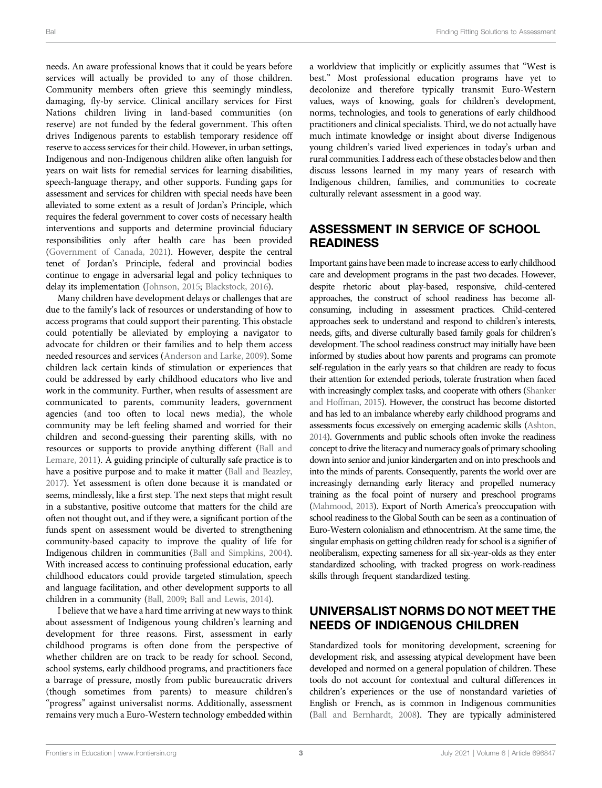needs. An aware professional knows that it could be years before services will actually be provided to any of those children. Community members often grieve this seemingly mindless, damaging, fly-by service. Clinical ancillary services for First Nations children living in land-based communities (on reserve) are not funded by the federal government. This often drives Indigenous parents to establish temporary residence off reserve to access services for their child. However, in urban settings, Indigenous and non-Indigenous children alike often languish for years on wait lists for remedial services for learning disabilities, speech-language therapy, and other supports. Funding gaps for assessment and services for children with special needs have been alleviated to some extent as a result of Jordan's Principle, which requires the federal government to cover costs of necessary health interventions and supports and determine provincial fiduciary responsibilities only after health care has been provided ([Government of Canada, 2021\)](#page-8-6). However, despite the central tenet of Jordan's Principle, federal and provincial bodies continue to engage in adversarial legal and policy techniques to delay its implementation ([Johnson, 2015;](#page-8-7) [Blackstock, 2016](#page-8-8)).

Many children have development delays or challenges that are due to the family's lack of resources or understanding of how to access programs that could support their parenting. This obstacle could potentially be alleviated by employing a navigator to advocate for children or their families and to help them access needed resources and services [\(Anderson and Larke, 2009\)](#page-8-9). Some children lack certain kinds of stimulation or experiences that could be addressed by early childhood educators who live and work in the community. Further, when results of assessment are communicated to parents, community leaders, government agencies (and too often to local news media), the whole community may be left feeling shamed and worried for their children and second-guessing their parenting skills, with no resources or supports to provide anything different [\(Ball and](#page-8-10) [Lemare, 2011](#page-8-10)). A guiding principle of culturally safe practice is to have a positive purpose and to make it matter ([Ball and Beazley,](#page-8-11) [2017](#page-8-11)). Yet assessment is often done because it is mandated or seems, mindlessly, like a first step. The next steps that might result in a substantive, positive outcome that matters for the child are often not thought out, and if they were, a significant portion of the funds spent on assessment would be diverted to strengthening community-based capacity to improve the quality of life for Indigenous children in communities ([Ball and Simpkins, 2004\)](#page-8-12). With increased access to continuing professional education, early childhood educators could provide targeted stimulation, speech and language facilitation, and other development supports to all children in a community ([Ball, 2009;](#page-8-13) [Ball and Lewis, 2014\)](#page-8-14).

I believe that we have a hard time arriving at new ways to think about assessment of Indigenous young children's learning and development for three reasons. First, assessment in early childhood programs is often done from the perspective of whether children are on track to be ready for school. Second, school systems, early childhood programs, and practitioners face a barrage of pressure, mostly from public bureaucratic drivers (though sometimes from parents) to measure children's "progress" against universalist norms. Additionally, assessment remains very much a Euro-Western technology embedded within

a worldview that implicitly or explicitly assumes that "West is best." Most professional education programs have yet to decolonize and therefore typically transmit Euro-Western values, ways of knowing, goals for children's development, norms, technologies, and tools to generations of early childhood practitioners and clinical specialists. Third, we do not actually have much intimate knowledge or insight about diverse Indigenous young children's varied lived experiences in today's urban and rural communities. I address each of these obstacles below and then discuss lessons learned in my many years of research with Indigenous children, families, and communities to cocreate culturally relevant assessment in a good way.

### ASSESSMENT IN SERVICE OF SCHOOL **READINESS**

Important gains have been made to increase access to early childhood care and development programs in the past two decades. However, despite rhetoric about play-based, responsive, child-centered approaches, the construct of school readiness has become allconsuming, including in assessment practices. Child-centered approaches seek to understand and respond to children's interests, needs, gifts, and diverse culturally based family goals for children's development. The school readiness construct may initially have been informed by studies about how parents and programs can promote self-regulation in the early years so that children are ready to focus their attention for extended periods, tolerate frustration when faced with increasingly complex tasks, and cooperate with others ([Shanker](#page-8-15) [and Hoffman, 2015](#page-8-15)). However, the construct has become distorted and has led to an imbalance whereby early childhood programs and assessments focus excessively on emerging academic skills ([Ashton,](#page-8-16) [2014](#page-8-16)). Governments and public schools often invoke the readiness concept to drive the literacy and numeracy goals of primary schooling down into senior and junior kindergarten and on into preschools and into the minds of parents. Consequently, parents the world over are increasingly demanding early literacy and propelled numeracy training as the focal point of nursery and preschool programs [\(Mahmood, 2013](#page-8-17)). Export of North America's preoccupation with school readiness to the Global South can be seen as a continuation of Euro-Western colonialism and ethnocentrism. At the same time, the singular emphasis on getting children ready for school is a signifier of neoliberalism, expecting sameness for all six-year-olds as they enter standardized schooling, with tracked progress on work-readiness skills through frequent standardized testing.

# UNIVERSALIST NORMS DO NOT MEET THE NEEDS OF INDIGENOUS CHILDREN

Standardized tools for monitoring development, screening for development risk, and assessing atypical development have been developed and normed on a general population of children. These tools do not account for contextual and cultural differences in children's experiences or the use of nonstandard varieties of English or French, as is common in Indigenous communities [\(Ball and Bernhardt, 2008](#page-8-18)). They are typically administered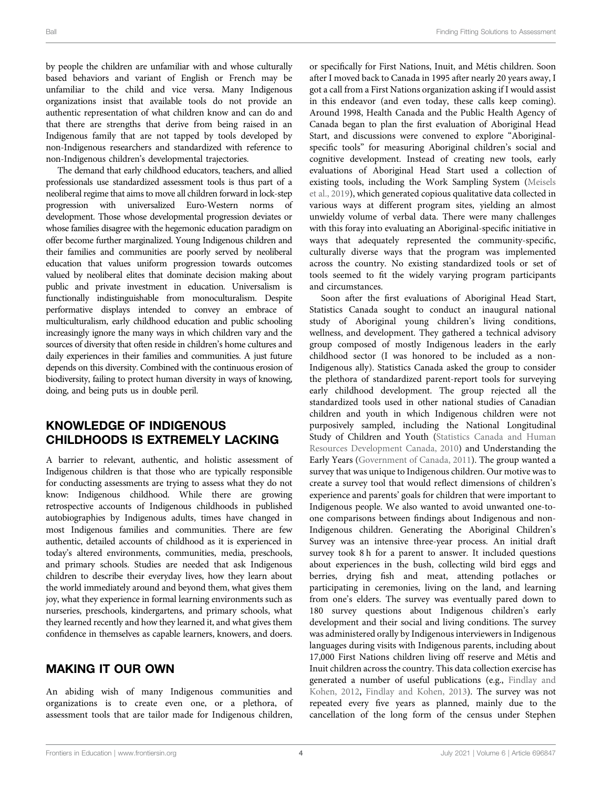by people the children are unfamiliar with and whose culturally based behaviors and variant of English or French may be unfamiliar to the child and vice versa. Many Indigenous organizations insist that available tools do not provide an authentic representation of what children know and can do and that there are strengths that derive from being raised in an Indigenous family that are not tapped by tools developed by non-Indigenous researchers and standardized with reference to non-Indigenous children's developmental trajectories.

The demand that early childhood educators, teachers, and allied professionals use standardized assessment tools is thus part of a neoliberal regime that aims to move all children forward in lock-step progression with universalized Euro-Western norms of development. Those whose developmental progression deviates or whose families disagree with the hegemonic education paradigm on offer become further marginalized. Young Indigenous children and their families and communities are poorly served by neoliberal education that values uniform progression towards outcomes valued by neoliberal elites that dominate decision making about public and private investment in education. Universalism is functionally indistinguishable from monoculturalism. Despite performative displays intended to convey an embrace of multiculturalism, early childhood education and public schooling increasingly ignore the many ways in which children vary and the sources of diversity that often reside in children's home cultures and daily experiences in their families and communities. A just future depends on this diversity. Combined with the continuous erosion of biodiversity, failing to protect human diversity in ways of knowing, doing, and being puts us in double peril.

### KNOWLEDGE OF INDIGENOUS CHILDHOODS IS EXTREMELY LACKING

A barrier to relevant, authentic, and holistic assessment of Indigenous children is that those who are typically responsible for conducting assessments are trying to assess what they do not know: Indigenous childhood. While there are growing retrospective accounts of Indigenous childhoods in published autobiographies by Indigenous adults, times have changed in most Indigenous families and communities. There are few authentic, detailed accounts of childhood as it is experienced in today's altered environments, communities, media, preschools, and primary schools. Studies are needed that ask Indigenous children to describe their everyday lives, how they learn about the world immediately around and beyond them, what gives them joy, what they experience in formal learning environments such as nurseries, preschools, kindergartens, and primary schools, what they learned recently and how they learned it, and what gives them confidence in themselves as capable learners, knowers, and doers.

## MAKING IT OUR OWN

An abiding wish of many Indigenous communities and organizations is to create even one, or a plethora, of assessment tools that are tailor made for Indigenous children, or specifically for First Nations, Inuit, and Métis children. Soon after I moved back to Canada in 1995 after nearly 20 years away, I got a call from a First Nations organization asking if I would assist in this endeavor (and even today, these calls keep coming). Around 1998, Health Canada and the Public Health Agency of Canada began to plan the first evaluation of Aboriginal Head Start, and discussions were convened to explore "Aboriginalspecific tools" for measuring Aboriginal children's social and cognitive development. Instead of creating new tools, early evaluations of Aboriginal Head Start used a collection of existing tools, including the Work Sampling System ([Meisels](#page-8-19) [et al., 2019\)](#page-8-19), which generated copious qualitative data collected in various ways at different program sites, yielding an almost unwieldy volume of verbal data. There were many challenges with this foray into evaluating an Aboriginal-specific initiative in ways that adequately represented the community-specific, culturally diverse ways that the program was implemented across the country. No existing standardized tools or set of tools seemed to fit the widely varying program participants and circumstances.

Soon after the first evaluations of Aboriginal Head Start, Statistics Canada sought to conduct an inaugural national study of Aboriginal young children's living conditions, wellness, and development. They gathered a technical advisory group composed of mostly Indigenous leaders in the early childhood sector (I was honored to be included as a non-Indigenous ally). Statistics Canada asked the group to consider the plethora of standardized parent-report tools for surveying early childhood development. The group rejected all the standardized tools used in other national studies of Canadian children and youth in which Indigenous children were not purposively sampled, including the National Longitudinal Study of Children and Youth ([Statistics Canada and Human](#page-8-20) [Resources Development Canada, 2010\)](#page-8-20) and Understanding the Early Years ([Government of Canada, 2011](#page-8-21)). The group wanted a survey that was unique to Indigenous children. Our motive was to create a survey tool that would reflect dimensions of children's experience and parents' goals for children that were important to Indigenous people. We also wanted to avoid unwanted one-toone comparisons between findings about Indigenous and non-Indigenous children. Generating the Aboriginal Children's Survey was an intensive three-year process. An initial draft survey took 8 h for a parent to answer. It included questions about experiences in the bush, collecting wild bird eggs and berries, drying fish and meat, attending potlaches or participating in ceremonies, living on the land, and learning from one's elders. The survey was eventually pared down to 180 survey questions about Indigenous children's early development and their social and living conditions. The survey was administered orally by Indigenous interviewers in Indigenous languages during visits with Indigenous parents, including about 17,000 First Nations children living off reserve and Métis and Inuit children across the country. This data collection exercise has generated a number of useful publications (e.g., [Findlay and](#page-8-22) [Kohen, 2012,](#page-8-22) [Findlay and Kohen, 2013](#page-8-23)). The survey was not repeated every five years as planned, mainly due to the cancellation of the long form of the census under Stephen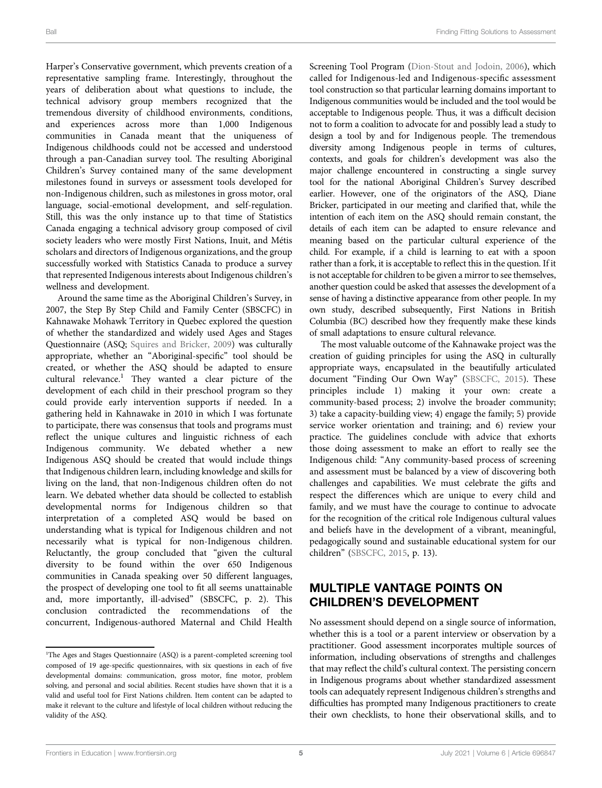Harper's Conservative government, which prevents creation of a representative sampling frame. Interestingly, throughout the years of deliberation about what questions to include, the technical advisory group members recognized that the tremendous diversity of childhood environments, conditions, and experiences across more than 1,000 Indigenous communities in Canada meant that the uniqueness of Indigenous childhoods could not be accessed and understood through a pan-Canadian survey tool. The resulting Aboriginal Children's Survey contained many of the same development milestones found in surveys or assessment tools developed for non-Indigenous children, such as milestones in gross motor, oral language, social-emotional development, and self-regulation. Still, this was the only instance up to that time of Statistics Canada engaging a technical advisory group composed of civil society leaders who were mostly First Nations, Inuit, and Métis scholars and directors of Indigenous organizations, and the group successfully worked with Statistics Canada to produce a survey that represented Indigenous interests about Indigenous children's wellness and development.

Around the same time as the Aboriginal Children's Survey, in 2007, the Step By Step Child and Family Center (SBSCFC) in Kahnawake Mohawk Territory in Quebec explored the question of whether the standardized and widely used Ages and Stages Questionnaire (ASQ; [Squires and Bricker, 2009](#page-8-24)) was culturally appropriate, whether an "Aboriginal-specific" tool should be created, or whether the ASQ should be adapted to ensure cultural relevance.<sup>1</sup> They wanted a clear picture of the development of each child in their preschool program so they could provide early intervention supports if needed. In a gathering held in Kahnawake in 2010 in which I was fortunate to participate, there was consensus that tools and programs must reflect the unique cultures and linguistic richness of each Indigenous community. We debated whether a new Indigenous ASQ should be created that would include things that Indigenous children learn, including knowledge and skills for living on the land, that non-Indigenous children often do not learn. We debated whether data should be collected to establish developmental norms for Indigenous children so that interpretation of a completed ASQ would be based on understanding what is typical for Indigenous children and not necessarily what is typical for non-Indigenous children. Reluctantly, the group concluded that "given the cultural diversity to be found within the over 650 Indigenous communities in Canada speaking over 50 different languages, the prospect of developing one tool to fit all seems unattainable and, more importantly, ill-advised" (SBSCFC, p. 2). This conclusion contradicted the recommendations of the concurrent, Indigenous-authored Maternal and Child Health

Screening Tool Program ([Dion-Stout and Jodoin, 2006](#page-8-25)), which called for Indigenous-led and Indigenous-specific assessment tool construction so that particular learning domains important to Indigenous communities would be included and the tool would be acceptable to Indigenous people. Thus, it was a difficult decision not to form a coalition to advocate for and possibly lead a study to design a tool by and for Indigenous people. The tremendous diversity among Indigenous people in terms of cultures, contexts, and goals for children's development was also the major challenge encountered in constructing a single survey tool for the national Aboriginal Children's Survey described earlier. However, one of the originators of the ASQ, Diane Bricker, participated in our meeting and clarified that, while the intention of each item on the ASQ should remain constant, the details of each item can be adapted to ensure relevance and meaning based on the particular cultural experience of the child. For example, if a child is learning to eat with a spoon rather than a fork, it is acceptable to reflect this in the question. If it is not acceptable for children to be given a mirror to see themselves, another question could be asked that assesses the development of a sense of having a distinctive appearance from other people. In my own study, described subsequently, First Nations in British Columbia (BC) described how they frequently make these kinds of small adaptations to ensure cultural relevance.

The most valuable outcome of the Kahnawake project was the creation of guiding principles for using the ASQ in culturally appropriate ways, encapsulated in the beautifully articulated document "Finding Our Own Way" ([SBSCFC, 2015](#page-8-5)). These principles include 1) making it your own: create a community-based process; 2) involve the broader community; 3) take a capacity-building view; 4) engage the family; 5) provide service worker orientation and training; and 6) review your practice. The guidelines conclude with advice that exhorts those doing assessment to make an effort to really see the Indigenous child: "Any community-based process of screening and assessment must be balanced by a view of discovering both challenges and capabilities. We must celebrate the gifts and respect the differences which are unique to every child and family, and we must have the courage to continue to advocate for the recognition of the critical role Indigenous cultural values and beliefs have in the development of a vibrant, meaningful, pedagogically sound and sustainable educational system for our children" ([SBSCFC, 2015,](#page-8-5) p. 13).

# MULTIPLE VANTAGE POINTS ON CHILDREN'S DEVELOPMENT

No assessment should depend on a single source of information, whether this is a tool or a parent interview or observation by a practitioner. Good assessment incorporates multiple sources of information, including observations of strengths and challenges that may reflect the child's cultural context. The persisting concern in Indigenous programs about whether standardized assessment tools can adequately represent Indigenous children's strengths and difficulties has prompted many Indigenous practitioners to create their own checklists, to hone their observational skills, and to

<sup>&</sup>lt;sup>1</sup>The Ages and Stages Questionnaire (ASQ) is a parent-completed screening tool composed of 19 age-specific questionnaires, with six questions in each of five developmental domains: communication, gross motor, fine motor, problem solving, and personal and social abilities. Recent studies have shown that it is a valid and useful tool for First Nations children. Item content can be adapted to make it relevant to the culture and lifestyle of local children without reducing the validity of the ASQ.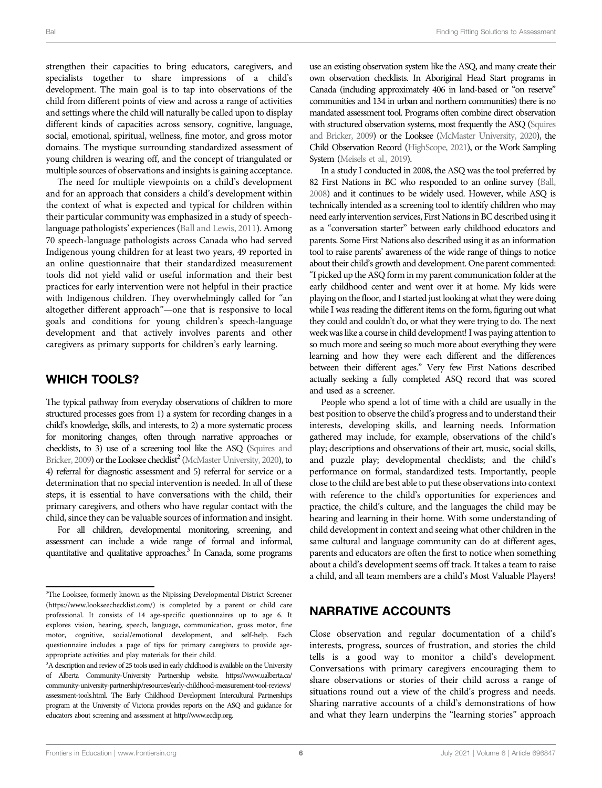strengthen their capacities to bring educators, caregivers, and specialists together to share impressions of a child's development. The main goal is to tap into observations of the child from different points of view and across a range of activities and settings where the child will naturally be called upon to display different kinds of capacities across sensory, cognitive, language, social, emotional, spiritual, wellness, fine motor, and gross motor domains. The mystique surrounding standardized assessment of young children is wearing off, and the concept of triangulated or multiple sources of observations and insights is gaining acceptance.

The need for multiple viewpoints on a child's development and for an approach that considers a child's development within the context of what is expected and typical for children within their particular community was emphasized in a study of speechlanguage pathologists' experiences [\(Ball and Lewis, 2011\)](#page-8-26). Among 70 speech-language pathologists across Canada who had served Indigenous young children for at least two years, 49 reported in an online questionnaire that their standardized measurement tools did not yield valid or useful information and their best practices for early intervention were not helpful in their practice with Indigenous children. They overwhelmingly called for "an altogether different approach"—one that is responsive to local goals and conditions for young children's speech-language development and that actively involves parents and other caregivers as primary supports for children's early learning.

#### WHICH TOOLS?

The typical pathway from everyday observations of children to more structured processes goes from 1) a system for recording changes in a child's knowledge, skills, and interests, to 2) a more systematic process for monitoring changes, often through narrative approaches or checklists, to 3) use of a screening tool like the ASQ [\(Squires and](#page-8-24) [Bricker, 2009](#page-8-24)) or the Looksee checklist<sup>2</sup> [\(McMaster University, 2020\)](#page-8-27), to 4) referral for diagnostic assessment and 5) referral for service or a determination that no special intervention is needed. In all of these steps, it is essential to have conversations with the child, their primary caregivers, and others who have regular contact with the child, since they can be valuable sources of information and insight.

For all children, developmental monitoring, screening, and assessment can include a wide range of formal and informal, quantitative and qualitative approaches.<sup>3</sup> In Canada, some programs

use an existing observation system like the ASQ, and many create their own observation checklists. In Aboriginal Head Start programs in Canada (including approximately 406 in land-based or "on reserve" communities and 134 in urban and northern communities) there is no mandated assessment tool. Programs often combine direct observation with structured observation systems, most frequently the ASQ [\(Squires](#page-8-24) [and Bricker, 2009](#page-8-24)) or the Looksee [\(McMaster University, 2020\)](#page-8-27), the Child Observation Record [\(HighScope, 2021](#page-8-28)), or the Work Sampling System [\(Meisels et al., 2019\)](#page-8-19).

In a study I conducted in 2008, the ASQ was the tool preferred by 82 First Nations in BC who responded to an online survey [\(Ball,](#page-8-29) [2008](#page-8-29)) and it continues to be widely used. However, while ASQ is technically intended as a screening tool to identify children who may need early intervention services, First Nations in BC described using it as a "conversation starter" between early childhood educators and parents. Some First Nations also described using it as an information tool to raise parents' awareness of the wide range of things to notice about their child's growth and development. One parent commented: "I picked up the ASQ form in my parent communication folder at the early childhood center and went over it at home. My kids were playing on the floor, and I started just looking at what they were doing while I was reading the different items on the form, figuring out what they could and couldn't do, or what they were trying to do. The next week was like a course in child development! I was paying attention to so much more and seeing so much more about everything they were learning and how they were each different and the differences between their different ages." Very few First Nations described actually seeking a fully completed ASQ record that was scored and used as a screener.

People who spend a lot of time with a child are usually in the best position to observe the child's progress and to understand their interests, developing skills, and learning needs. Information gathered may include, for example, observations of the child's play; descriptions and observations of their art, music, social skills, and puzzle play; developmental checklists; and the child's performance on formal, standardized tests. Importantly, people close to the child are best able to put these observations into context with reference to the child's opportunities for experiences and practice, the child's culture, and the languages the child may be hearing and learning in their home. With some understanding of child development in context and seeing what other children in the same cultural and language community can do at different ages, parents and educators are often the first to notice when something about a child's development seems off track. It takes a team to raise a child, and all team members are a child's Most Valuable Players!

# NARRATIVE ACCOUNTS

Close observation and regular documentation of a child's interests, progress, sources of frustration, and stories the child tells is a good way to monitor a child's development. Conversations with primary caregivers encouraging them to share observations or stories of their child across a range of situations round out a view of the child's progress and needs. Sharing narrative accounts of a child's demonstrations of how and what they learn underpins the "learning stories" approach

<sup>&</sup>lt;sup>2</sup>The Looksee, formerly known as the Nipissing Developmental District Screener (<https://www.lookseechecklist.com/>) is completed by a parent or child care professional. It consists of 14 age-specific questionnaires up to age 6. It explores vision, hearing, speech, language, communication, gross motor, fine motor, cognitive, social/emotional development, and self-help. Each questionnaire includes a page of tips for primary caregivers to provide ageappropriate activities and play materials for their child.

<sup>&</sup>lt;sup>3</sup>A description and review of 25 tools used in early childhood is available on the University of Alberta Community-University Partnership website. [https://www.ualberta.ca/](https://www.ualberta.ca/community-university-partnership/resources/early-childhood-measurement-tool-reviews/assessment-tools.html) [community-university-partnership/resources/early-childhood-measurement-tool-reviews/](https://www.ualberta.ca/community-university-partnership/resources/early-childhood-measurement-tool-reviews/assessment-tools.html) [assessment-tools.html](https://www.ualberta.ca/community-university-partnership/resources/early-childhood-measurement-tool-reviews/assessment-tools.html). The Early Childhood Development Intercultural Partnerships program at the University of Victoria provides reports on the ASQ and guidance for educators about screening and assessment at [http://www.ecdip.org](http://www.ecdip.org/).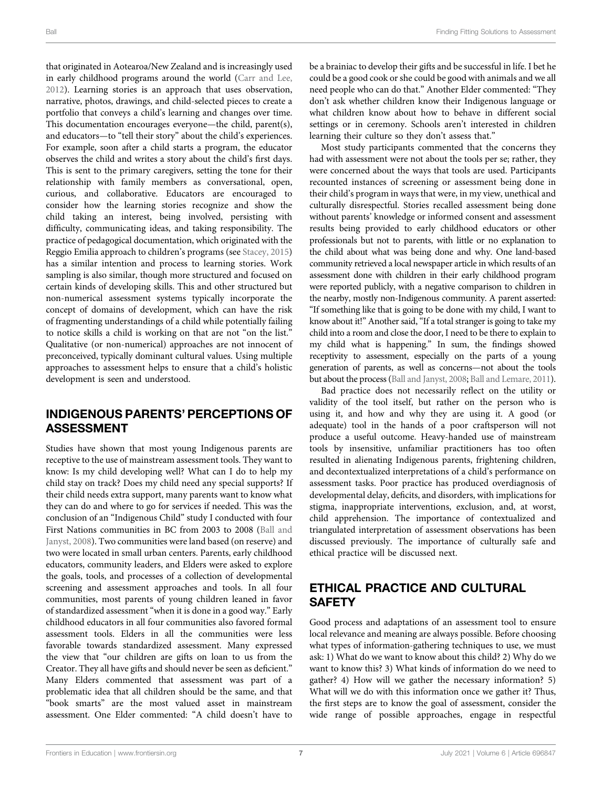that originated in Aotearoa/New Zealand and is increasingly used in early childhood programs around the world [\(Carr and Lee,](#page-8-30) [2012](#page-8-30)). Learning stories is an approach that uses observation, narrative, photos, drawings, and child-selected pieces to create a portfolio that conveys a child's learning and changes over time. This documentation encourages everyone—the child, parent(s), and educators—to "tell their story" about the child's experiences. For example, soon after a child starts a program, the educator observes the child and writes a story about the child's first days. This is sent to the primary caregivers, setting the tone for their relationship with family members as conversational, open, curious, and collaborative. Educators are encouraged to consider how the learning stories recognize and show the child taking an interest, being involved, persisting with difficulty, communicating ideas, and taking responsibility. The practice of pedagogical documentation, which originated with the Reggio Emilia approach to children's programs (see [Stacey, 2015\)](#page-8-31) has a similar intention and process to learning stories. Work sampling is also similar, though more structured and focused on certain kinds of developing skills. This and other structured but non-numerical assessment systems typically incorporate the concept of domains of development, which can have the risk of fragmenting understandings of a child while potentially failing to notice skills a child is working on that are not "on the list." Qualitative (or non-numerical) approaches are not innocent of preconceived, typically dominant cultural values. Using multiple approaches to assessment helps to ensure that a child's holistic development is seen and understood.

### INDIGENOUS PARENTS' PERCEPTIONS OF ASSESSMENT

Studies have shown that most young Indigenous parents are receptive to the use of mainstream assessment tools. They want to know: Is my child developing well? What can I do to help my child stay on track? Does my child need any special supports? If their child needs extra support, many parents want to know what they can do and where to go for services if needed. This was the conclusion of an "Indigenous Child" study I conducted with four First Nations communities in BC from 2003 to 2008 [\(Ball and](#page-8-32) [Janyst, 2008](#page-8-32)). Two communities were land based (on reserve) and two were located in small urban centers. Parents, early childhood educators, community leaders, and Elders were asked to explore the goals, tools, and processes of a collection of developmental screening and assessment approaches and tools. In all four communities, most parents of young children leaned in favor of standardized assessment "when it is done in a good way." Early childhood educators in all four communities also favored formal assessment tools. Elders in all the communities were less favorable towards standardized assessment. Many expressed the view that "our children are gifts on loan to us from the Creator. They all have gifts and should never be seen as deficient." Many Elders commented that assessment was part of a problematic idea that all children should be the same, and that "book smarts" are the most valued asset in mainstream assessment. One Elder commented: "A child doesn't have to

be a brainiac to develop their gifts and be successful in life. I bet he could be a good cook or she could be good with animals and we all need people who can do that." Another Elder commented: "They don't ask whether children know their Indigenous language or what children know about how to behave in different social settings or in ceremony. Schools aren't interested in children learning their culture so they don't assess that."

Most study participants commented that the concerns they had with assessment were not about the tools per se; rather, they were concerned about the ways that tools are used. Participants recounted instances of screening or assessment being done in their child's program in ways that were, in my view, unethical and culturally disrespectful. Stories recalled assessment being done without parents' knowledge or informed consent and assessment results being provided to early childhood educators or other professionals but not to parents, with little or no explanation to the child about what was being done and why. One land-based community retrieved a local newspaper article in which results of an assessment done with children in their early childhood program were reported publicly, with a negative comparison to children in the nearby, mostly non-Indigenous community. A parent asserted: "If something like that is going to be done with my child, I want to know about it!" Another said, "If a total stranger is going to take my child into a room and close the door, I need to be there to explain to my child what is happening." In sum, the findings showed receptivity to assessment, especially on the parts of a young generation of parents, as well as concerns—not about the tools but about the process [\(Ball and Janyst, 2008;](#page-8-32) [Ball and Lemare, 2011\)](#page-8-10).

Bad practice does not necessarily reflect on the utility or validity of the tool itself, but rather on the person who is using it, and how and why they are using it. A good (or adequate) tool in the hands of a poor craftsperson will not produce a useful outcome. Heavy-handed use of mainstream tools by insensitive, unfamiliar practitioners has too often resulted in alienating Indigenous parents, frightening children, and decontextualized interpretations of a child's performance on assessment tasks. Poor practice has produced overdiagnosis of developmental delay, deficits, and disorders, with implications for stigma, inappropriate interventions, exclusion, and, at worst, child apprehension. The importance of contextualized and triangulated interpretation of assessment observations has been discussed previously. The importance of culturally safe and ethical practice will be discussed next.

# ETHICAL PRACTICE AND CULTURAL **SAFETY**

Good process and adaptations of an assessment tool to ensure local relevance and meaning are always possible. Before choosing what types of information-gathering techniques to use, we must ask: 1) What do we want to know about this child? 2) Why do we want to know this? 3) What kinds of information do we need to gather? 4) How will we gather the necessary information? 5) What will we do with this information once we gather it? Thus, the first steps are to know the goal of assessment, consider the wide range of possible approaches, engage in respectful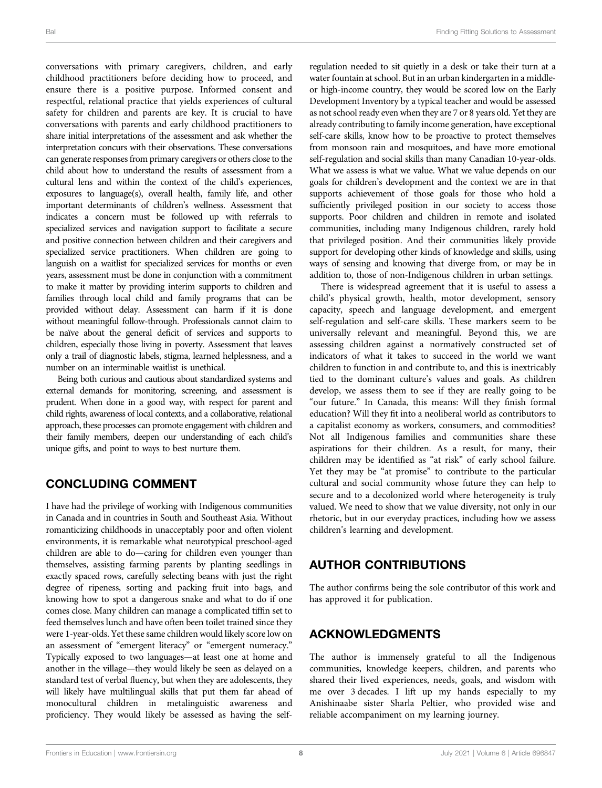conversations with primary caregivers, children, and early childhood practitioners before deciding how to proceed, and ensure there is a positive purpose. Informed consent and respectful, relational practice that yields experiences of cultural safety for children and parents are key. It is crucial to have conversations with parents and early childhood practitioners to share initial interpretations of the assessment and ask whether the interpretation concurs with their observations. These conversations can generate responses from primary caregivers or others close to the child about how to understand the results of assessment from a cultural lens and within the context of the child's experiences, exposures to language(s), overall health, family life, and other important determinants of children's wellness. Assessment that indicates a concern must be followed up with referrals to specialized services and navigation support to facilitate a secure and positive connection between children and their caregivers and specialized service practitioners. When children are going to languish on a waitlist for specialized services for months or even years, assessment must be done in conjunction with a commitment to make it matter by providing interim supports to children and families through local child and family programs that can be provided without delay. Assessment can harm if it is done without meaningful follow-through. Professionals cannot claim to be naïve about the general deficit of services and supports to children, especially those living in poverty. Assessment that leaves only a trail of diagnostic labels, stigma, learned helplessness, and a number on an interminable waitlist is unethical.

Being both curious and cautious about standardized systems and external demands for monitoring, screening, and assessment is prudent. When done in a good way, with respect for parent and child rights, awareness of local contexts, and a collaborative, relational approach, these processes can promote engagement with children and their family members, deepen our understanding of each child's unique gifts, and point to ways to best nurture them.

## CONCLUDING COMMENT

I have had the privilege of working with Indigenous communities in Canada and in countries in South and Southeast Asia. Without romanticizing childhoods in unacceptably poor and often violent environments, it is remarkable what neurotypical preschool-aged children are able to do—caring for children even younger than themselves, assisting farming parents by planting seedlings in exactly spaced rows, carefully selecting beans with just the right degree of ripeness, sorting and packing fruit into bags, and knowing how to spot a dangerous snake and what to do if one comes close. Many children can manage a complicated tiffin set to feed themselves lunch and have often been toilet trained since they were 1-year-olds. Yet these same children would likely score low on an assessment of "emergent literacy" or "emergent numeracy." Typically exposed to two languages—at least one at home and another in the village—they would likely be seen as delayed on a standard test of verbal fluency, but when they are adolescents, they will likely have multilingual skills that put them far ahead of monocultural children in metalinguistic awareness and proficiency. They would likely be assessed as having the self-

regulation needed to sit quietly in a desk or take their turn at a water fountain at school. But in an urban kindergarten in a middleor high-income country, they would be scored low on the Early Development Inventory by a typical teacher and would be assessed as not school ready even when they are 7 or 8 years old. Yet they are already contributing to family income generation, have exceptional self-care skills, know how to be proactive to protect themselves from monsoon rain and mosquitoes, and have more emotional self-regulation and social skills than many Canadian 10-year-olds. What we assess is what we value. What we value depends on our goals for children's development and the context we are in that supports achievement of those goals for those who hold a sufficiently privileged position in our society to access those supports. Poor children and children in remote and isolated communities, including many Indigenous children, rarely hold that privileged position. And their communities likely provide support for developing other kinds of knowledge and skills, using ways of sensing and knowing that diverge from, or may be in addition to, those of non-Indigenous children in urban settings.

There is widespread agreement that it is useful to assess a child's physical growth, health, motor development, sensory capacity, speech and language development, and emergent self-regulation and self-care skills. These markers seem to be universally relevant and meaningful. Beyond this, we are assessing children against a normatively constructed set of indicators of what it takes to succeed in the world we want children to function in and contribute to, and this is inextricably tied to the dominant culture's values and goals. As children develop, we assess them to see if they are really going to be "our future." In Canada, this means: Will they finish formal education? Will they fit into a neoliberal world as contributors to a capitalist economy as workers, consumers, and commodities? Not all Indigenous families and communities share these aspirations for their children. As a result, for many, their children may be identified as "at risk" of early school failure. Yet they may be "at promise" to contribute to the particular cultural and social community whose future they can help to secure and to a decolonized world where heterogeneity is truly valued. We need to show that we value diversity, not only in our rhetoric, but in our everyday practices, including how we assess children's learning and development.

## AUTHOR CONTRIBUTIONS

The author confirms being the sole contributor of this work and has approved it for publication.

#### ACKNOWLEDGMENTS

The author is immensely grateful to all the Indigenous communities, knowledge keepers, children, and parents who shared their lived experiences, needs, goals, and wisdom with me over 3 decades. I lift up my hands especially to my Anishinaabe sister Sharla Peltier, who provided wise and reliable accompaniment on my learning journey.